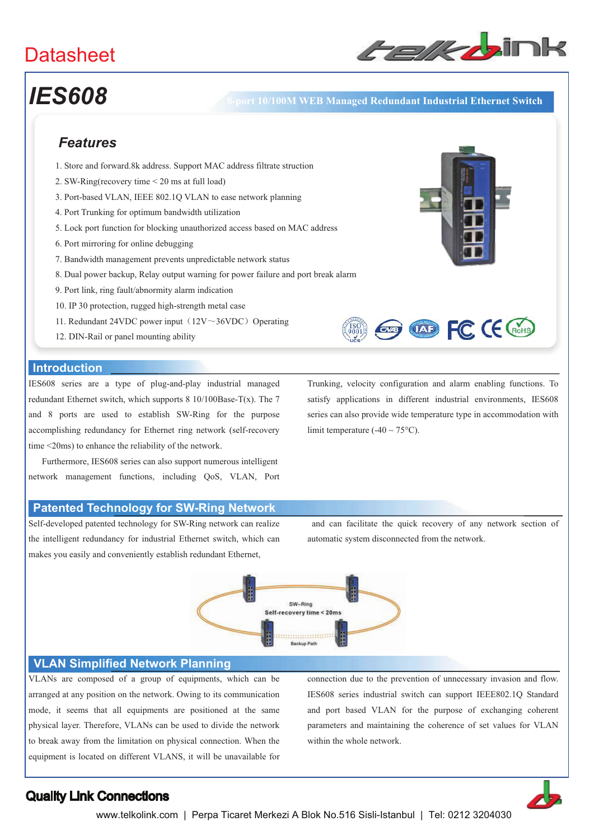

# *IES608* **8-port 10/100M WEB Managed Redundant Industrial Ethernet Switch**

# *Features*

- 1. Store and forward.8k address. Support MAC address filtrate struction
- 2. SW-Ring(recovery time < 20 ms at full load)
- 3. Port-based VLAN, IEEE 802.1Q VLAN to ease network planning
- 4. Port Trunking for optimum bandwidth utilization
- 5. Lock port function for blocking unauthorized access based on MAC address
- 6. Port mirroring for online debugging
- 7. Bandwidth management prevents unpredictable network status
- 8. Dual power backup, Relay output warning for power failure and port break alarm
- 9. Port link, ring fault/abnormity alarm indication
- 10. IP 30 protection, rugged high-strength metal case
- 11. Redundant 24VDC power input  $(12V \sim 36VDC)$  Operating
- 12. DIN-Rail or panel mounting ability

### **Introduction**

IES608 series are a type of plug-and-play industrial managed redundant Ethernet switch, which supports 8 10/100Base-T(x). The 7 and 8 ports are used to establish SW-Ring for the purpose accomplishing redundancy for Ethernet ring network (self-recovery time <20ms) to enhance the reliability of the network.

 Furthermore, IES608 series can also support numerous intelligent network management functions, including QoS, VLAN, Port

### **Patented Technology for SW-Ring Network**

Self-developed patented technology for SW-Ring network can realize the intelligent redundancy for industrial Ethernet switch, which can makes you easily and conveniently establish redundant Ethernet,

Trunking, velocity configuration and alarm enabling functions. To satisfy applications in different industrial environments, IES608 series can also provide wide temperature type in accommodation with limit temperature  $(-40 \sim 75^{\circ}C)$ .

**Exp (XD FC (E GoHS)** 

 and can facilitate the quick recovery of any network section of automatic system disconnected from the network.



#### **VLAN Simplified Network Planning**

VLANs are composed of a group of equipments, which can be arranged at any position on the network. Owing to its communication mode, it seems that all equipments are positioned at the same physical layer. Therefore, VLANs can be used to divide the network to break away from the limitation on physical connection. When the equipment is located on different VLANS, it will be unavailable for connection due to the prevention of unnecessary invasion and flow. IES608 series industrial switch can support IEEE802.1Q Standard and port based VLAN for the purpose of exchanging coherent parameters and maintaining the coherence of set values for VLAN within the whole network.



## Quality Link Connections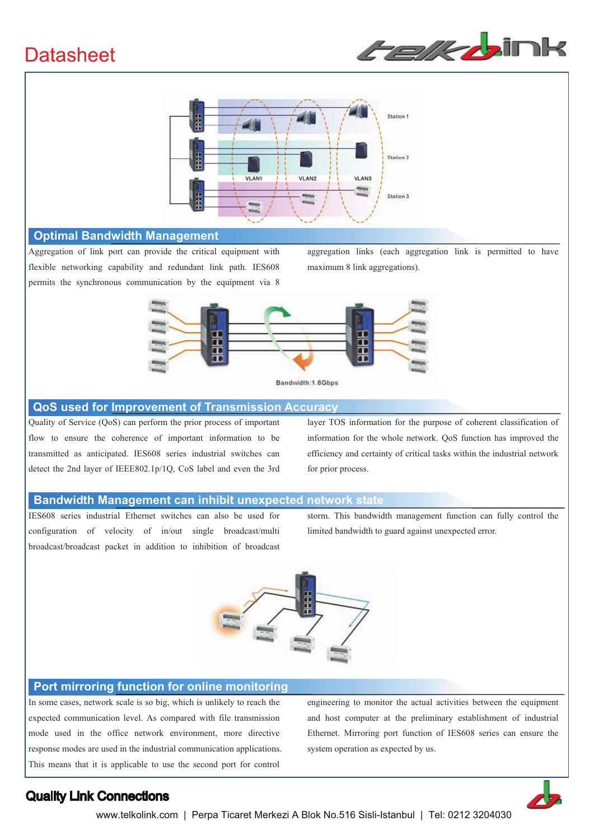



#### **Optimal Bandwidth Management**

Aggregation of link port can provide the critical equipment with flexible networking capability and redundant link path. IES608 permits the synchronous communication by the equipment via 8

aggregation links (each aggregation link is permitted to have maximum 8 link aggregations).



#### **QoS used for Improvement of Transmission Accuracy**

Quality of Service (QoS) can perform the prior process of important flow to ensure the coherence of important information to be transmitted as anticipated. IES608 series industrial switches can detect the 2nd layer of IEEE802.1p/1Q, CoS label and even the 3rd layer TOS information for the purpose of coherent classification of information for the whole network. QoS function has improved the efficiency and certainty of critical tasks within the industrial network for prior process.

#### **Bandwidth Management can inhibit unexpected network state**

IES608 series industrial Ethernet switches can also be used for configuration of velocity of in/out single broadcast/multi broadcast/broadcast packet in addition to inhibition of broadcast storm. This bandwidth management function can fully control the limited bandwidth to guard against unexpected error.



#### **Port mirroring function for online monitoring**

In some cases, network scale is so big, which is unlikely to reach the expected communication level. As compared with file transmission mode used in the office network environment, more directive response modes are used in the industrial communication applications. This means that it is applicable to use the second port for control

engineering to monitor the actual activities between the equipment and host computer at the preliminary establishment of industrial Ethernet. Mirroring port function of IES608 series can ensure the system operation as expected by us.

## Quality Link Connections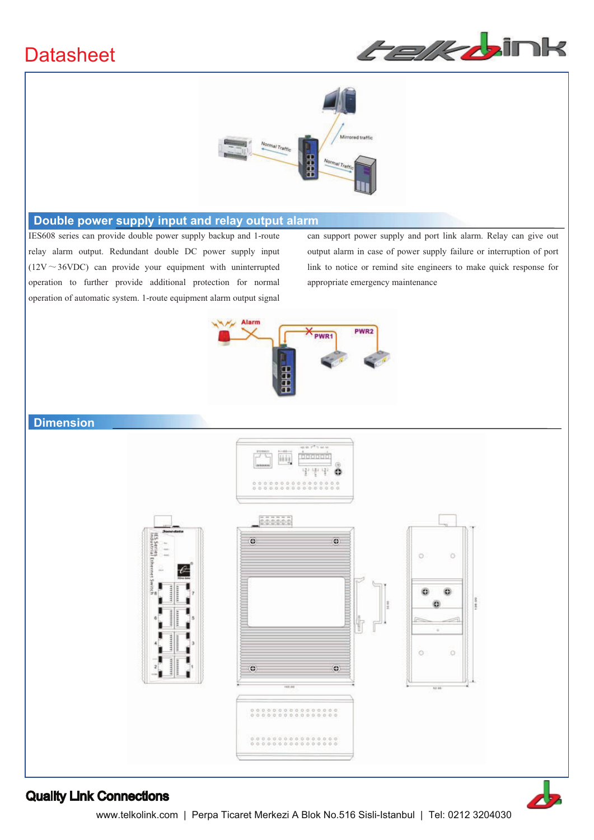



### **Double power supply input and relay output alarm**

IES608 series can provide double power supply backup and 1-route relay alarm output. Redundant double DC power supply input ( $12V \sim 36VDC$ ) can provide your equipment with uninterrupted operation to further provide additional protection for normal operation of automatic system. 1-route equipment alarm output signal can support power supply and port link alarm. Relay can give out output alarm in case of power supply failure or interruption of port link to notice or remind site engineers to make quick response for appropriate emergency maintenance



### **Dimension**



### Quality Link Connections